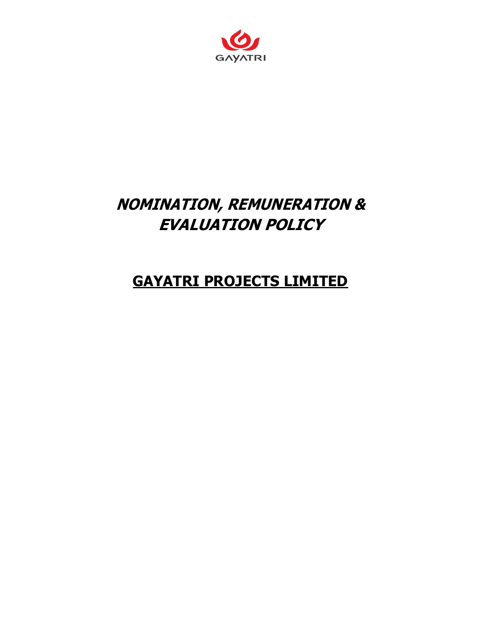

# NOMINATION, REMUNERATION & EVALUATION POLICY

# GAYATRI PROJECTS LIMITED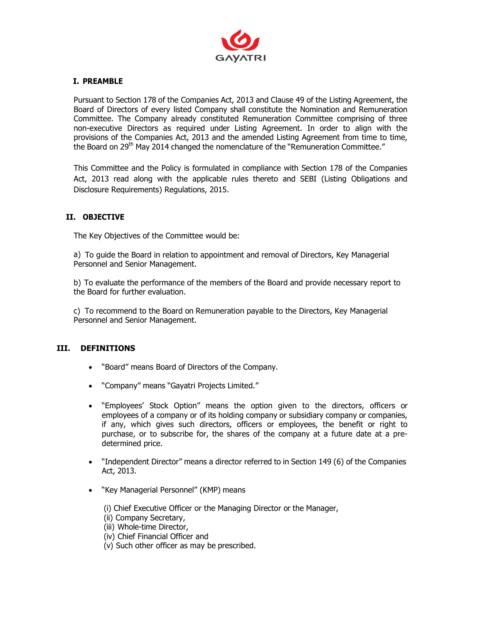

# I. PREAMBLE

Pursuant to Section 178 of the Companies Act, 2013 and Clause 49 of the Listing Agreement, the Board of Directors of every listed Company shall constitute the Nomination and Remuneration Committee. The Company already constituted Remuneration Committee comprising of three non-executive Directors as required under Listing Agreement. In order to align with the provisions of the Companies Act, 2013 and the amended Listing Agreement from time to time, the Board on 29<sup>th</sup> May 2014 changed the nomenclature of the "Remuneration Committee."

This Committee and the Policy is formulated in compliance with Section 178 of the Companies Act, 2013 read along with the applicable rules thereto and SEBI (Listing Obligations and Disclosure Requirements) Regulations, 2015.

# II. OBJECTIVE

The Key Objectives of the Committee would be:

a) To guide the Board in relation to appointment and removal of Directors, Key Managerial Personnel and Senior Management.

b) To evaluate the performance of the members of the Board and provide necessary report to the Board for further evaluation.

c) To recommend to the Board on Remuneration payable to the Directors, Key Managerial Personnel and Senior Management.

# III. DEFINITIONS

- "Board" means Board of Directors of the Company.
- "Company" means "Gayatri Projects Limited."
- "Employees' Stock Option" means the option given to the directors, officers or employees of a company or of its holding company or subsidiary company or companies, if any, which gives such directors, officers or employees, the benefit or right to purchase, or to subscribe for, the shares of the company at a future date at a predetermined price.
- "Independent Director" means a director referred to in Section 149 (6) of the Companies Act, 2013.
- "Key Managerial Personnel" (KMP) means
	- (i) Chief Executive Officer or the Managing Director or the Manager,
	- (ii) Company Secretary,
	- (iii) Whole-time Director,
	- (iv) Chief Financial Officer and
	- (v) Such other officer as may be prescribed.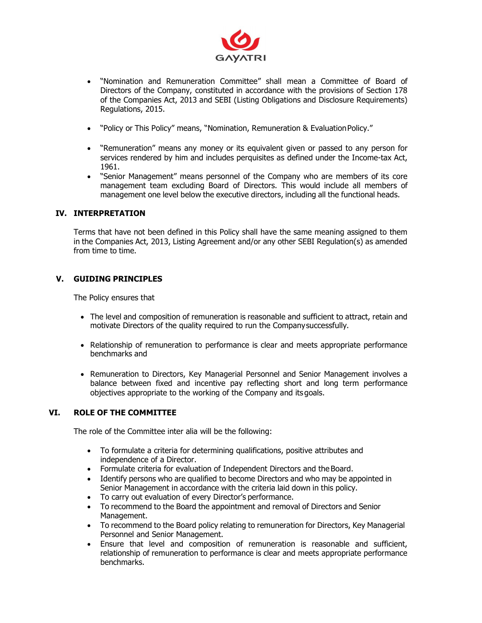

- "Nomination and Remuneration Committee" shall mean a Committee of Board of Directors of the Company, constituted in accordance with the provisions of Section 178 of the Companies Act, 2013 and SEBI (Listing Obligations and Disclosure Requirements) Regulations, 2015.
- "Policy or This Policy" means, "Nomination, Remuneration & Evaluation Policy."
- "Remuneration" means any money or its equivalent given or passed to any person for services rendered by him and includes perquisites as defined under the Income-tax Act, 1961.
- "Senior Management" means personnel of the Company who are members of its core management team excluding Board of Directors. This would include all members of management one level below the executive directors, including all the functional heads.

#### IV. INTERPRETATION

Terms that have not been defined in this Policy shall have the same meaning assigned to them in the Companies Act, 2013, Listing Agreement and/or any other SEBI Regulation(s) as amended from time to time.

# V. GUIDING PRINCIPLES

The Policy ensures that

- The level and composition of remuneration is reasonable and sufficient to attract, retain and motivate Directors of the quality required to run the Company successfully.
- Relationship of remuneration to performance is clear and meets appropriate performance benchmarks and
- Remuneration to Directors, Key Managerial Personnel and Senior Management involves a balance between fixed and incentive pay reflecting short and long term performance objectives appropriate to the working of the Company and its goals.

# VI. ROLE OF THE COMMITTEE

The role of the Committee inter alia will be the following:

- To formulate a criteria for determining qualifications, positive attributes and independence of a Director.
- Formulate criteria for evaluation of Independent Directors and the Board.
- Identify persons who are qualified to become Directors and who may be appointed in Senior Management in accordance with the criteria laid down in this policy.
- To carry out evaluation of every Director's performance.
- To recommend to the Board the appointment and removal of Directors and Senior Management.
- To recommend to the Board policy relating to remuneration for Directors, Key Managerial Personnel and Senior Management.
- Ensure that level and composition of remuneration is reasonable and sufficient, relationship of remuneration to performance is clear and meets appropriate performance benchmarks.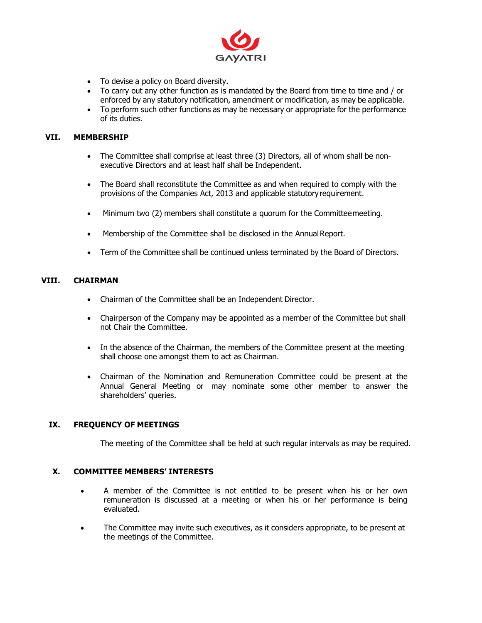

- To devise a policy on Board diversity.
- To carry out any other function as is mandated by the Board from time to time and / or enforced by any statutory notification, amendment or modification, as may be applicable.
- To perform such other functions as may be necessary or appropriate for the performance of its duties.

#### VII. MEMBERSHIP

- The Committee shall comprise at least three (3) Directors, all of whom shall be nonexecutive Directors and at least half shall be Independent.
- The Board shall reconstitute the Committee as and when required to comply with the provisions of the Companies Act, 2013 and applicable statutory requirement.
- Minimum two (2) members shall constitute a quorum for the Committee meeting.
- Membership of the Committee shall be disclosed in the Annual Report.
- Term of the Committee shall be continued unless terminated by the Board of Directors.

#### VIII. CHAIRMAN

- Chairman of the Committee shall be an Independent Director.
- Chairperson of the Company may be appointed as a member of the Committee but shall not Chair the Committee.
- In the absence of the Chairman, the members of the Committee present at the meeting shall choose one amongst them to act as Chairman.
- Chairman of the Nomination and Remuneration Committee could be present at the Annual General Meeting or may nominate some other member to answer the shareholders' queries.

#### IX. FREQUENCY OF MEETINGS

The meeting of the Committee shall be held at such regular intervals as may be required.

#### X. COMMITTEE MEMBERS' INTERESTS

- A member of the Committee is not entitled to be present when his or her own remuneration is discussed at a meeting or when his or her performance is being evaluated.
- The Committee may invite such executives, as it considers appropriate, to be present at the meetings of the Committee.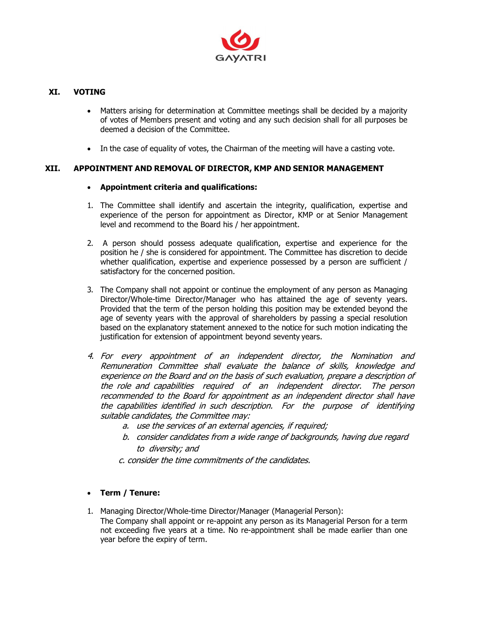

# XI. VOTING

- Matters arising for determination at Committee meetings shall be decided by a majority of votes of Members present and voting and any such decision shall for all purposes be deemed a decision of the Committee.
- In the case of equality of votes, the Chairman of the meeting will have a casting vote.

#### XII. APPOINTMENT AND REMOVAL OF DIRECTOR, KMP AND SENIOR MANAGEMENT

#### Appointment criteria and qualifications:

- 1. The Committee shall identify and ascertain the integrity, qualification, expertise and experience of the person for appointment as Director, KMP or at Senior Management level and recommend to the Board his / her appointment.
- 2. A person should possess adequate qualification, expertise and experience for the position he / she is considered for appointment. The Committee has discretion to decide whether qualification, expertise and experience possessed by a person are sufficient / satisfactory for the concerned position.
- 3. The Company shall not appoint or continue the employment of any person as Managing Director/Whole-time Director/Manager who has attained the age of seventy years. Provided that the term of the person holding this position may be extended beyond the age of seventy years with the approval of shareholders by passing a special resolution based on the explanatory statement annexed to the notice for such motion indicating the justification for extension of appointment beyond seventy years.
- 4. For every appointment of an independent director, the Nomination and Remuneration Committee shall evaluate the balance of skills, knowledge and experience on the Board and on the basis of such evaluation, prepare a description of the role and capabilities required of an independent director. The person recommended to the Board for appointment as an independent director shall have the capabilities identified in such description. For the purpose of identifying suitable candidates, the Committee may:
	- a. use the services of an external agencies, if required;
	- b. consider candidates from a wide range of backgrounds, having due regard to diversity; and
	- c. consider the time commitments of the candidates.

# Term / Tenure:

- 1. Managing Director/Whole-time Director/Manager (Managerial Person):
	- The Company shall appoint or re-appoint any person as its Managerial Person for a term not exceeding five years at a time. No re-appointment shall be made earlier than one year before the expiry of term.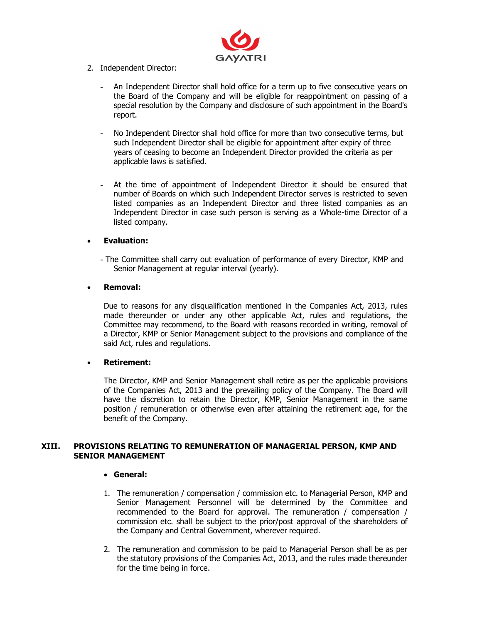

- 2. Independent Director:
	- An Independent Director shall hold office for a term up to five consecutive years on the Board of the Company and will be eligible for reappointment on passing of a special resolution by the Company and disclosure of such appointment in the Board's report.
	- No Independent Director shall hold office for more than two consecutive terms, but such Independent Director shall be eligible for appointment after expiry of three years of ceasing to become an Independent Director provided the criteria as per applicable laws is satisfied.
	- At the time of appointment of Independent Director it should be ensured that number of Boards on which such Independent Director serves is restricted to seven listed companies as an Independent Director and three listed companies as an Independent Director in case such person is serving as a Whole-time Director of a listed company.

#### Evaluation:

- The Committee shall carry out evaluation of performance of every Director, KMP and Senior Management at regular interval (yearly).

#### Removal:

Due to reasons for any disqualification mentioned in the Companies Act, 2013, rules made thereunder or under any other applicable Act, rules and regulations, the Committee may recommend, to the Board with reasons recorded in writing, removal of a Director, KMP or Senior Management subject to the provisions and compliance of the said Act, rules and regulations.

#### Retirement:

The Director, KMP and Senior Management shall retire as per the applicable provisions of the Companies Act, 2013 and the prevailing policy of the Company. The Board will have the discretion to retain the Director, KMP, Senior Management in the same position / remuneration or otherwise even after attaining the retirement age, for the benefit of the Company.

#### XIII. PROVISIONS RELATING TO REMUNERATION OF MANAGERIAL PERSON, KMP AND SENIOR MANAGEMENT

#### General:

- 1. The remuneration / compensation / commission etc. to Managerial Person, KMP and Senior Management Personnel will be determined by the Committee and recommended to the Board for approval. The remuneration / compensation / commission etc. shall be subject to the prior/post approval of the shareholders of the Company and Central Government, wherever required.
- 2. The remuneration and commission to be paid to Managerial Person shall be as per the statutory provisions of the Companies Act, 2013, and the rules made thereunder for the time being in force.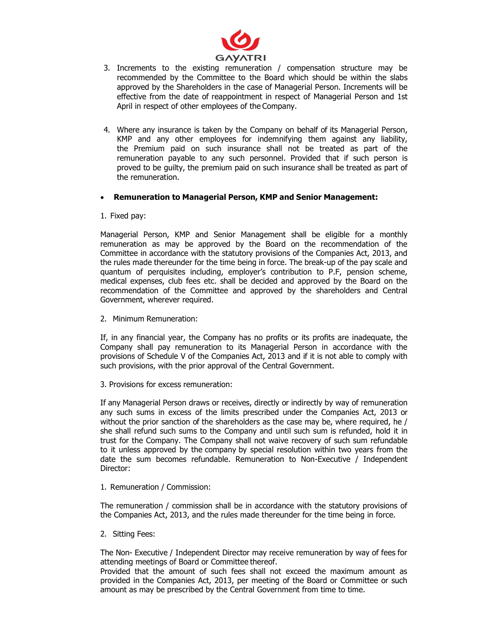

- 3. Increments to the existing remuneration / compensation structure may be recommended by the Committee to the Board which should be within the slabs approved by the Shareholders in the case of Managerial Person. Increments will be effective from the date of reappointment in respect of Managerial Person and 1st April in respect of other employees of the Company.
- 4. Where any insurance is taken by the Company on behalf of its Managerial Person, KMP and any other employees for indemnifying them against any liability, the Premium paid on such insurance shall not be treated as part of the remuneration payable to any such personnel. Provided that if such person is proved to be guilty, the premium paid on such insurance shall be treated as part of the remuneration.

#### Remuneration to Managerial Person, KMP and Senior Management:

1. Fixed pay:

Managerial Person, KMP and Senior Management shall be eligible for a monthly remuneration as may be approved by the Board on the recommendation of the Committee in accordance with the statutory provisions of the Companies Act, 2013, and the rules made thereunder for the time being in force. The break-up of the pay scale and quantum of perquisites including, employer's contribution to P.F, pension scheme, medical expenses, club fees etc. shall be decided and approved by the Board on the recommendation of the Committee and approved by the shareholders and Central Government, wherever required.

2. Minimum Remuneration:

If, in any financial year, the Company has no profits or its profits are inadequate, the Company shall pay remuneration to its Managerial Person in accordance with the provisions of Schedule V of the Companies Act, 2013 and if it is not able to comply with such provisions, with the prior approval of the Central Government.

3. Provisions for excess remuneration:

If any Managerial Person draws or receives, directly or indirectly by way of remuneration any such sums in excess of the limits prescribed under the Companies Act, 2013 or without the prior sanction of the shareholders as the case may be, where required, he / she shall refund such sums to the Company and until such sum is refunded, hold it in trust for the Company. The Company shall not waive recovery of such sum refundable to it unless approved by the company by special resolution within two years from the date the sum becomes refundable. Remuneration to Non-Executive / Independent Director:

1. Remuneration / Commission:

The remuneration / commission shall be in accordance with the statutory provisions of the Companies Act, 2013, and the rules made thereunder for the time being in force.

2. Sitting Fees:

The Non- Executive / Independent Director may receive remuneration by way of fees for attending meetings of Board or Committee thereof.

Provided that the amount of such fees shall not exceed the maximum amount as provided in the Companies Act, 2013, per meeting of the Board or Committee or such amount as may be prescribed by the Central Government from time to time.